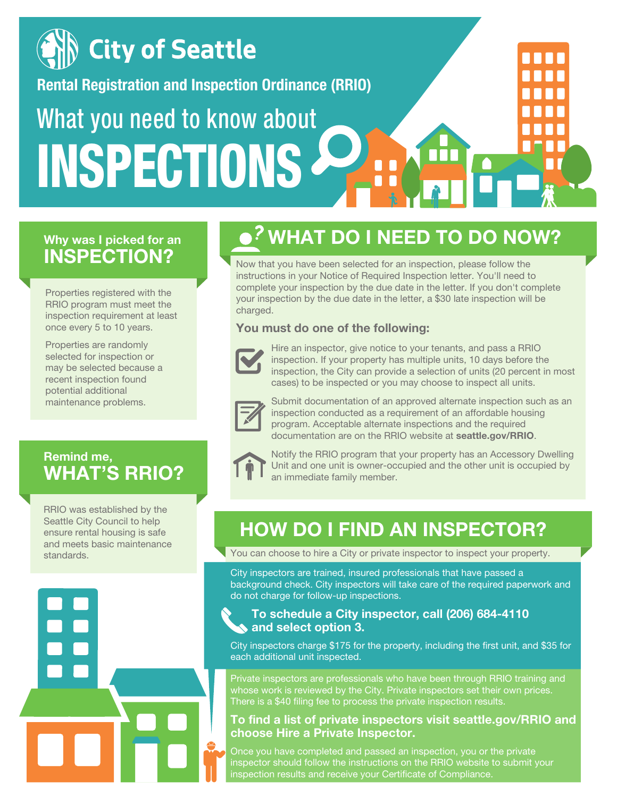

### **Why was I picked for an INSPECTION?**

Properties registered with the RRIO program must meet the inspection requirement at least once every 5 to 10 years.

Properties are randomly selected for inspection or may be selected because a recent inspection found potential additional maintenance problems.

### **Remind me, WHAT'S RRIO?**

RRIO was established by the Seattle City Council to help ensure rental housing is safe and meets basic maintenance standards.

# **WHAT DO I NEED TO DO NOW?**

Now that you have been selected for an inspection, please follow the instructions in your Notice of Required Inspection letter. You'll need to complete your inspection by the due date in the letter. If you don't complete your inspection by the due date in the letter, a \$30 late inspection will be charged.

### **You must do one of the following:**



Hire an inspector, give notice to your tenants, and pass a RRIO inspection. If your property has multiple units, 10 days before the inspection, the City can provide a selection of units (20 percent in most cases) to be inspected or you may choose to inspect all units.



Submit documentation of an approved alternate inspection such as an inspection conducted as a requirement of an affordable housing program. Acceptable alternate inspections and the required documentation are on the RRIO website at **seattle.gov/RRIO**.



Notify the RRIO program that your property has an Accessory Dwelling Unit and one unit is owner-occupied and the other unit is occupied by an immediate family member.

## **HOW DO I FIND AN INSPECTOR?**

You can choose to hire a City or private inspector to inspect your property.

City inspectors are trained, insured professionals that have passed a background check. City inspectors will take care of the required paperwork and do not charge for follow-up inspections.

#### **To schedule a City inspector, call (206) 684-4110 and select option 3.**

City inspectors charge \$175 for the property, including the first unit, and \$35 for each additional unit inspected.

Private inspectors are professionals who have been through RRIO training and whose work is reviewed by the City. Private inspectors set their own prices. There is a \$40 filing fee to process the private inspection results.

#### **To find a list of private inspectors visit seattle.gov/RRIO and choose Hire a Private Inspector.**

Once you have completed and passed an inspection, you or the private inspector should follow the instructions on the RRIO website to submit your inspection results and receive your Certificate of Compliance.